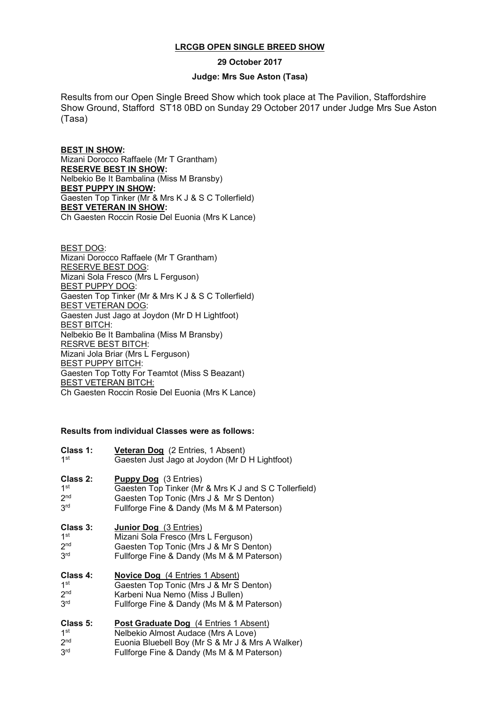## **LRCGB OPEN SINGLE BREED SHOW**

**29 October 2017**

## **Judge: Mrs Sue Aston (Tasa)**

Results from our Open Single Breed Show which took place at The Pavilion, Staffordshire Show Ground, Stafford ST18 0BD on Sunday 29 October 2017 under Judge Mrs Sue Aston (Tasa)

**BEST IN SHOW:** Mizani Dorocco Raffaele (Mr T Grantham) **RESERVE BEST IN SHOW:** Nelbekio Be It Bambalina (Miss M Bransby) **BEST PUPPY IN SHOW:** Gaesten Top Tinker (Mr & Mrs K J & S C Tollerfield) **BEST VETERAN IN SHOW:** Ch Gaesten Roccin Rosie Del Euonia (Mrs K Lance)

BEST DOG: Mizani Dorocco Raffaele (Mr T Grantham) RESERVE BEST DOG: Mizani Sola Fresco (Mrs L Ferguson) BEST PUPPY DOG: Gaesten Top Tinker (Mr & Mrs K J & S C Tollerfield) BEST VETERAN DOG: Gaesten Just Jago at Joydon (Mr D H Lightfoot) **BEST BITCH:** Nelbekio Be It Bambalina (Miss M Bransby) RESRVE BEST BITCH: Mizani Jola Briar (Mrs L Ferguson) BEST PUPPY BITCH: Gaesten Top Totty For Teamtot (Miss S Beazant) BEST VETERAN BITCH: Ch Gaesten Roccin Rosie Del Euonia (Mrs K Lance)

## **Results from individual Classes were as follows:**

| Class 1:        | Veteran Dog (2 Entries, 1 Absent)                     |
|-----------------|-------------------------------------------------------|
| 1 <sup>st</sup> | Gaesten Just Jago at Joydon (Mr D H Lightfoot)        |
| Class 2:        | <b>Puppy Dog</b> (3 Entries)                          |
| 1 <sup>st</sup> | Gaesten Top Tinker (Mr & Mrs K J and S C Tollerfield) |
| 2 <sub>nd</sub> | Gaesten Top Tonic (Mrs J & Mr S Denton)               |
| 3 <sup>rd</sup> | Fullforge Fine & Dandy (Ms M & M Paterson)            |
| Class 3:        | Junior Dog (3 Entries)                                |
| 1 <sup>st</sup> | Mizani Sola Fresco (Mrs L Ferguson)                   |
| 2 <sub>nd</sub> | Gaesten Top Tonic (Mrs J & Mr S Denton)               |
| 3 <sup>rd</sup> | Fullforge Fine & Dandy (Ms M & M Paterson)            |
| Class 4:        | <b>Novice Dog</b> (4 Entries 1 Absent)                |
| 1 <sup>st</sup> | Gaesten Top Tonic (Mrs J & Mr S Denton)               |
| 2 <sup>nd</sup> | Karbeni Nua Nemo (Miss J Bullen)                      |
| 3 <sup>rd</sup> | Fullforge Fine & Dandy (Ms M & M Paterson)            |
| Class 5:        | Post Graduate Dog (4 Entries 1 Absent)                |
| 1 <sup>st</sup> | Nelbekio Almost Audace (Mrs A Love)                   |
| 2 <sub>nd</sub> | Euonia Bluebell Boy (Mr S & Mr J & Mrs A Walker)      |
| 3 <sup>rd</sup> | Fullforge Fine & Dandy (Ms M & M Paterson)            |